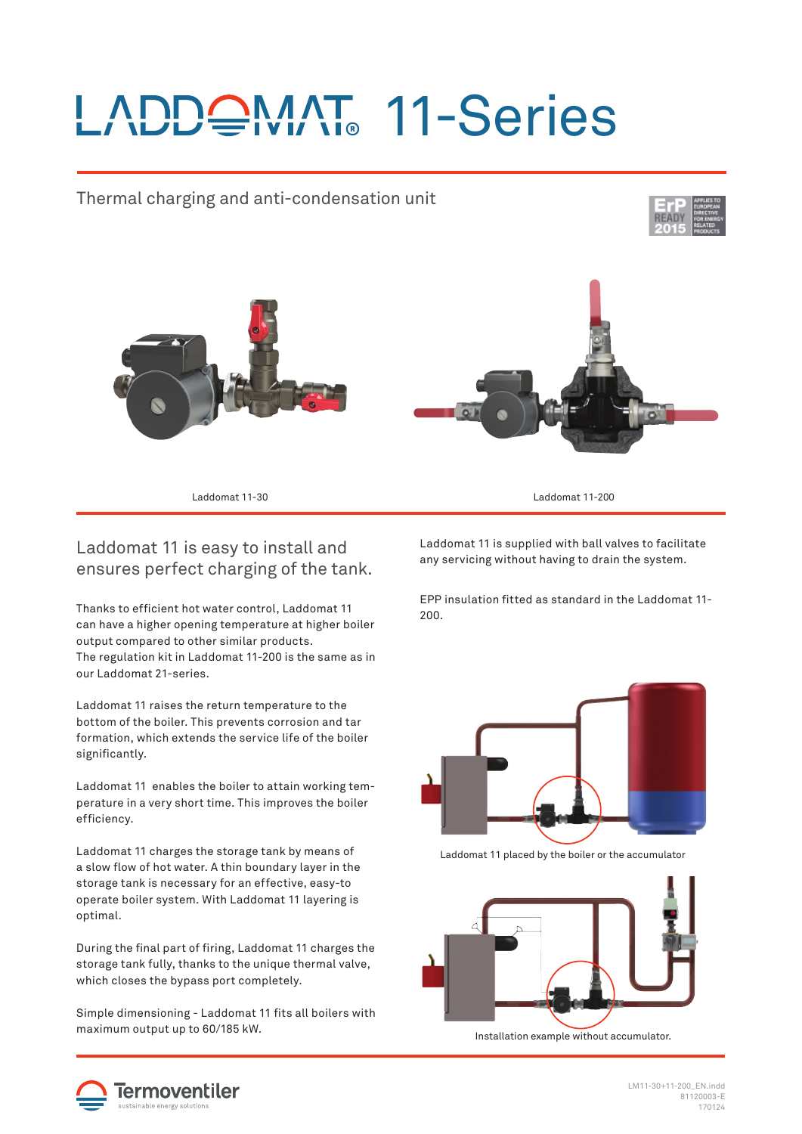# LADDQMAT 11-Series

### Thermal charging and anti-condensation unit





Laddomat 11-30 Laddomat 11-200

#### Laddomat 11 is easy to install and ensures perfect charging of the tank.

Thanks to efficient hot water control, Laddomat 11 can have a higher opening temperature at higher boiler output compared to other similar products. The regulation kit in Laddomat 11-200 is the same as in our Laddomat 21-series.

Laddomat 11 raises the return temperature to the bottom of the boiler. This prevents corrosion and tar formation, which extends the service life of the boiler significantly.

Laddomat 11 enables the boiler to attain working temperature in a very short time. This improves the boiler efficiency.

Laddomat 11 charges the storage tank by means of a slow flow of hot water. A thin boundary layer in the storage tank is necessary for an effective, easy-to operate boiler system. With Laddomat 11 layering is optimal.

During the final part of firing, Laddomat 11 charges the storage tank fully, thanks to the unique thermal valve, which closes the bypass port completely.

Simple dimensioning - Laddomat 11 fits all boilers with maximum output up to 60/185 kW.

Laddomat 11 is supplied with ball valves to facilitate any servicing without having to drain the system.

EPP insulation fi tted as standard in the Laddomat 11- 200.



Laddomat 11 placed by the boiler or the accumulator



Installation example without accumulator.